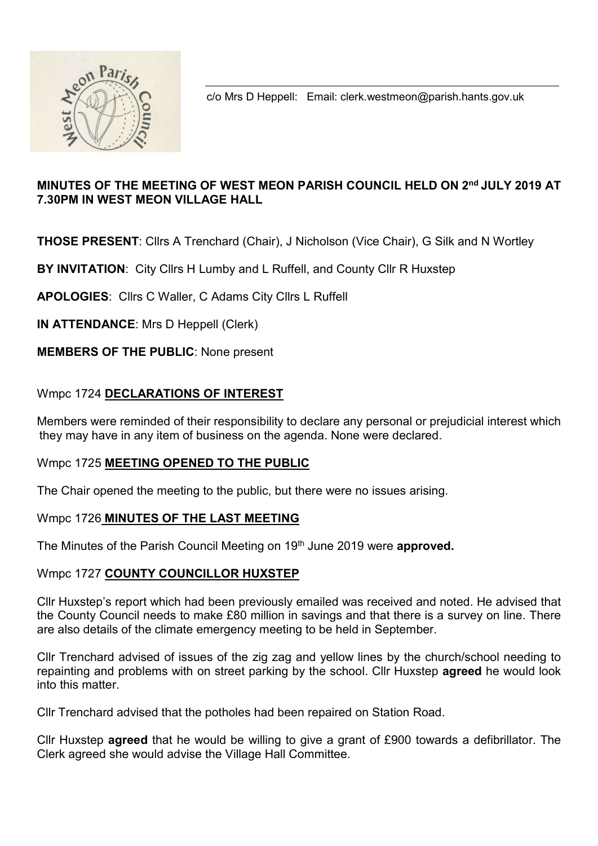

c/o Mrs D Heppell: Email: clerk.westmeon@parish.hants.gov.uk

# MINUTES OF THE MEETING OF WEST MEON PARISH COUNCIL HELD ON 2<sup>nd</sup> JULY 2019 AT 7.30PM IN WEST MEON VILLAGE HALL

THOSE PRESENT: Cllrs A Trenchard (Chair), J Nicholson (Vice Chair), G Silk and N Wortley

BY INVITATION: City Cllrs H Lumby and L Ruffell, and County Cllr R Huxstep

APOLOGIES: Cllrs C Waller, C Adams City Cllrs L Ruffell

IN ATTENDANCE: Mrs D Heppell (Clerk)

MEMBERS OF THE PUBLIC: None present

# Wmpc 1724 DECLARATIONS OF INTEREST

Members were reminded of their responsibility to declare any personal or prejudicial interest which they may have in any item of business on the agenda. None were declared.

## Wmpc 1725 MEETING OPENED TO THE PUBLIC

The Chair opened the meeting to the public, but there were no issues arising.

## Wmpc 1726 MINUTES OF THE LAST MEETING

The Minutes of the Parish Council Meeting on 19<sup>th</sup> June 2019 were approved.

## Wmpc 1727 COUNTY COUNCILLOR HUXSTEP

Cllr Huxstep's report which had been previously emailed was received and noted. He advised that the County Council needs to make £80 million in savings and that there is a survey on line. There are also details of the climate emergency meeting to be held in September.

Cllr Trenchard advised of issues of the zig zag and yellow lines by the church/school needing to repainting and problems with on street parking by the school. Cllr Huxstep **agreed** he would look into this matter.

Cllr Trenchard advised that the potholes had been repaired on Station Road.

Cllr Huxstep agreed that he would be willing to give a grant of £900 towards a defibrillator. The Clerk agreed she would advise the Village Hall Committee.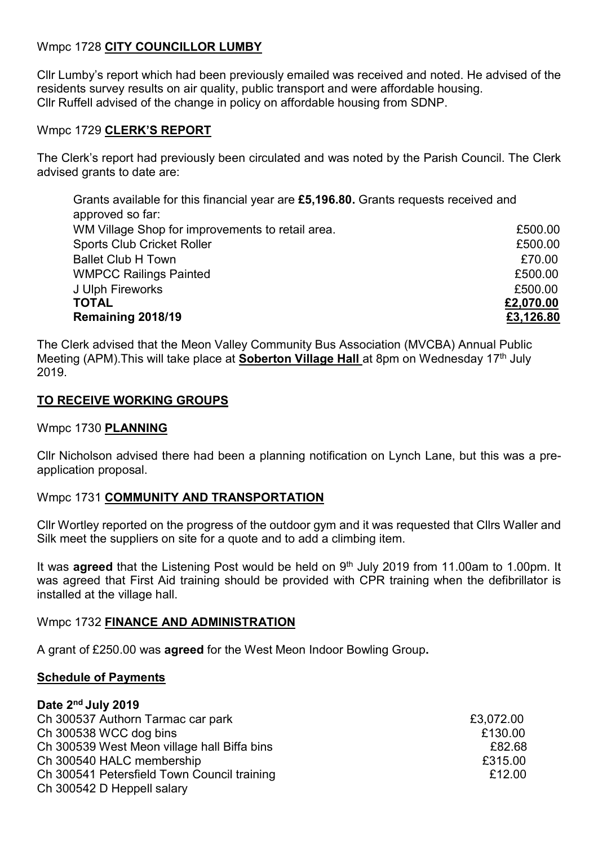# Wmpc 1728 CITY COUNCILLOR LUMBY

Cllr Lumby's report which had been previously emailed was received and noted. He advised of the residents survey results on air quality, public transport and were affordable housing. Cllr Ruffell advised of the change in policy on affordable housing from SDNP.

#### Wmpc 1729 CLERK'S REPORT

The Clerk's report had previously been circulated and was noted by the Parish Council. The Clerk advised grants to date are:

Grants available for this financial year are £5,196.80. Grants requests received and approved so far: WM Village Shop for improvements to retail area. <br> **E500.00** Sports Club Cricket Roller **ESOO.00** Ballet Club H Town **EXPLOSE CONTROL** WMPCC Railings Painted **E500.00** J Ulph Fireworks £500.00  $\texttt{TCTAL} \hspace{2.5cm} \underline{\texttt{E2,070.00}}$ Remaining 2018/19 **EXAMPLE 2018/19 EXAMPLE 2018/19** 

The Clerk advised that the Meon Valley Community Bus Association (MVCBA) Annual Public Meeting (APM). This will take place at **Soberton Village Hall** at 8pm on Wednesday 17<sup>th</sup> July 2019.

### TO RECEIVE WORKING GROUPS

#### Wmpc 1730 PLANNING

Cllr Nicholson advised there had been a planning notification on Lynch Lane, but this was a preapplication proposal.

#### Wmpc 1731 COMMUNITY AND TRANSPORTATION

Cllr Wortley reported on the progress of the outdoor gym and it was requested that Cllrs Waller and Silk meet the suppliers on site for a quote and to add a climbing item.

It was agreed that the Listening Post would be held on 9<sup>th</sup> July 2019 from 11.00am to 1.00pm. It was agreed that First Aid training should be provided with CPR training when the defibrillator is installed at the village hall.

#### Wmpc 1732 FINANCE AND ADMINISTRATION

A grant of £250.00 was agreed for the West Meon Indoor Bowling Group.

#### Schedule of Payments

Date 2nd July 2019

| Dale 2 July 2019                            |           |
|---------------------------------------------|-----------|
| Ch 300537 Authorn Tarmac car park           | £3,072.00 |
| Ch 300538 WCC dog bins                      | £130.00   |
| Ch 300539 West Meon village hall Biffa bins | £82.68    |
| Ch 300540 HALC membership                   | £315.00   |
| Ch 300541 Petersfield Town Council training | £12.00    |
| Ch 300542 D Heppell salary                  |           |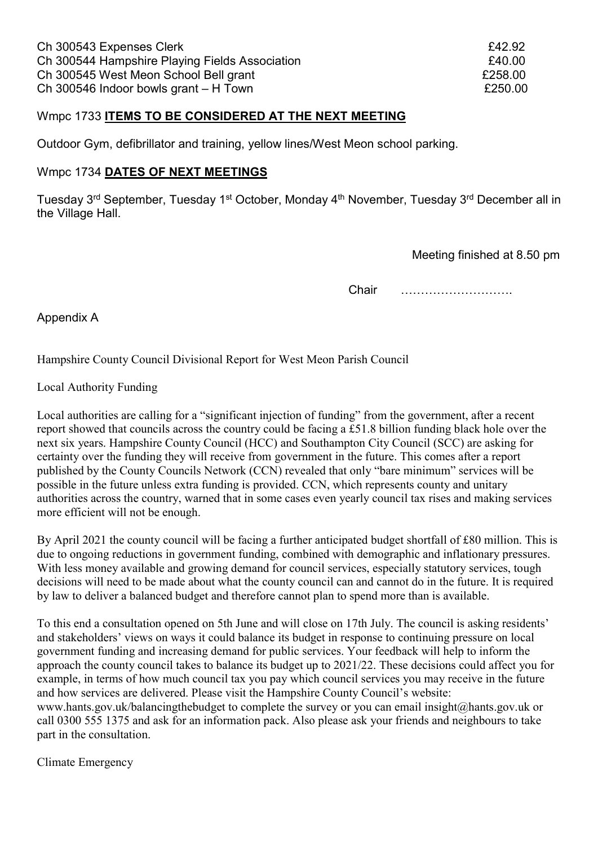#### Wmpc 1733 ITEMS TO BE CONSIDERED AT THE NEXT MEETING

Outdoor Gym, defibrillator and training, yellow lines/West Meon school parking.

#### Wmpc 1734 DATES OF NEXT MEETINGS

Tuesday 3<sup>rd</sup> September, Tuesday 1<sup>st</sup> October, Monday 4<sup>th</sup> November, Tuesday 3<sup>rd</sup> December all in the Village Hall.

Meeting finished at 8.50 pm

Chair ……………………….

Appendix A

Hampshire County Council Divisional Report for West Meon Parish Council

Local Authority Funding

Local authorities are calling for a "significant injection of funding" from the government, after a recent report showed that councils across the country could be facing a £51.8 billion funding black hole over the next six years. Hampshire County Council (HCC) and Southampton City Council (SCC) are asking for certainty over the funding they will receive from government in the future. This comes after a report published by the County Councils Network (CCN) revealed that only "bare minimum" services will be possible in the future unless extra funding is provided. CCN, which represents county and unitary authorities across the country, warned that in some cases even yearly council tax rises and making services more efficient will not be enough.

By April 2021 the county council will be facing a further anticipated budget shortfall of £80 million. This is due to ongoing reductions in government funding, combined with demographic and inflationary pressures. With less money available and growing demand for council services, especially statutory services, tough decisions will need to be made about what the county council can and cannot do in the future. It is required by law to deliver a balanced budget and therefore cannot plan to spend more than is available.

To this end a consultation opened on 5th June and will close on 17th July. The council is asking residents' and stakeholders' views on ways it could balance its budget in response to continuing pressure on local government funding and increasing demand for public services. Your feedback will help to inform the approach the county council takes to balance its budget up to 2021/22. These decisions could affect you for example, in terms of how much council tax you pay which council services you may receive in the future and how services are delivered. Please visit the Hampshire County Council's website: www.hants.gov.uk/balancingthebudget to complete the survey or you can email insight@hants.gov.uk or call 0300 555 1375 and ask for an information pack. Also please ask your friends and neighbours to take part in the consultation.

Climate Emergency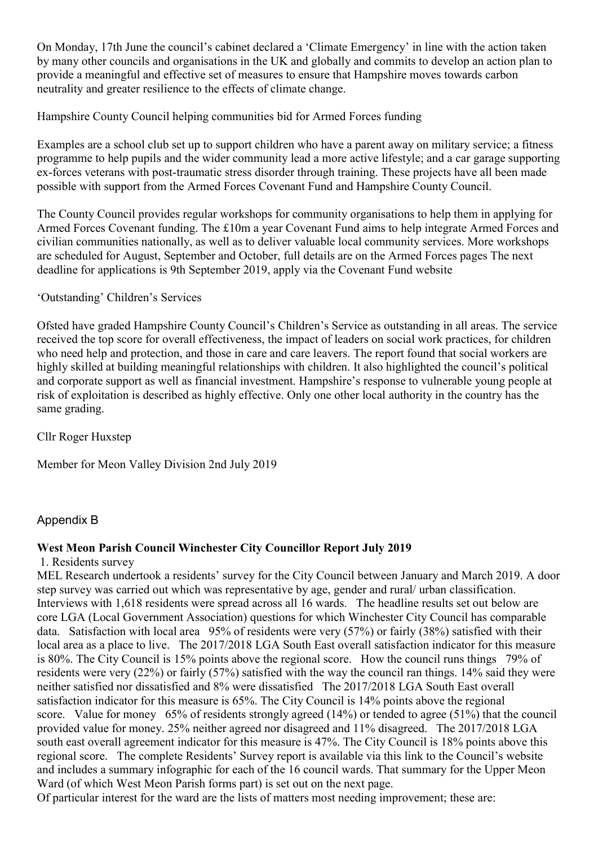On Monday, 17th June the council's cabinet declared a 'Climate Emergency' in line with the action taken by many other councils and organisations in the UK and globally and commits to develop an action plan to provide a meaningful and effective set of measures to ensure that Hampshire moves towards carbon neutrality and greater resilience to the effects of climate change.

Hampshire County Council helping communities bid for Armed Forces funding

Examples are a school club set up to support children who have a parent away on military service; a fitness programme to help pupils and the wider community lead a more active lifestyle; and a car garage supporting ex-forces veterans with post-traumatic stress disorder through training. These projects have all been made possible with support from the Armed Forces Covenant Fund and Hampshire County Council.

The County Council provides regular workshops for community organisations to help them in applying for Armed Forces Covenant funding. The £10m a year Covenant Fund aims to help integrate Armed Forces and civilian communities nationally, as well as to deliver valuable local community services. More workshops are scheduled for August, September and October, full details are on the Armed Forces pages The next deadline for applications is 9th September 2019, apply via the Covenant Fund website

### 'Outstanding' Children's Services

Ofsted have graded Hampshire County Council's Children's Service as outstanding in all areas. The service received the top score for overall effectiveness, the impact of leaders on social work practices, for children who need help and protection, and those in care and care leavers. The report found that social workers are highly skilled at building meaningful relationships with children. It also highlighted the council's political and corporate support as well as financial investment. Hampshire's response to vulnerable young people at risk of exploitation is described as highly effective. Only one other local authority in the country has the same grading.

Cllr Roger Huxstep

Member for Meon Valley Division 2nd July 2019

## Appendix B

## West Meon Parish Council Winchester City Councillor Report July 2019

1. Residents survey

MEL Research undertook a residents' survey for the City Council between January and March 2019. A door step survey was carried out which was representative by age, gender and rural/ urban classification. Interviews with 1,618 residents were spread across all 16 wards. The headline results set out below are core LGA (Local Government Association) questions for which Winchester City Council has comparable data. Satisfaction with local area 95% of residents were very (57%) or fairly (38%) satisfied with their local area as a place to live. The 2017/2018 LGA South East overall satisfaction indicator for this measure is 80%. The City Council is 15% points above the regional score. How the council runs things 79% of residents were very (22%) or fairly (57%) satisfied with the way the council ran things. 14% said they were neither satisfied nor dissatisfied and 8% were dissatisfied The 2017/2018 LGA South East overall satisfaction indicator for this measure is 65%. The City Council is 14% points above the regional score. Value for money 65% of residents strongly agreed (14%) or tended to agree (51%) that the council provided value for money. 25% neither agreed nor disagreed and 11% disagreed. The 2017/2018 LGA south east overall agreement indicator for this measure is 47%. The City Council is 18% points above this regional score. The complete Residents' Survey report is available via this link to the Council's website and includes a summary infographic for each of the 16 council wards. That summary for the Upper Meon Ward (of which West Meon Parish forms part) is set out on the next page.

Of particular interest for the ward are the lists of matters most needing improvement; these are: